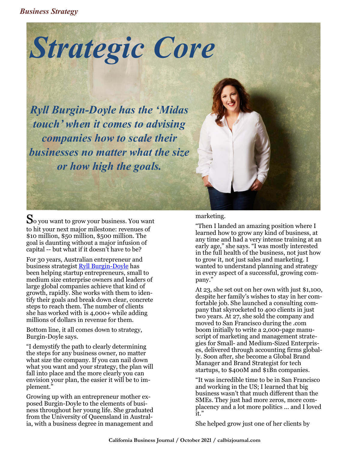*Business Strategy*



*Ryll Burgin-Doyle has the 'Midas touch' when it comes to advising companies how to scale their businesses no matter what the size or how high the goals.* 

So you want to grow your business. You want to hit your next major milestone: revenues of \$10 million, \$50 million, \$500 million. The goal is daunting without a major infusion of capital -- but what if it doesn't have to be?

For 30 years, Australian entrepreneur and business strategist [Ryll Burgin](https://ryllburgindoyle.com/)-Doyle has been helping startup entrepreneurs, small to medium size enterprise owners and leaders of large global companies achieve that kind of growth, rapidly. She works with them to identify their goals and break down clear, concrete steps to reach them. The number of clients she has worked with is 4,000+ while adding millions of dollars in revenue for them.

Bottom line, it all comes down to strategy, Burgin-Doyle says.

"I demystify the path to clearly determining the steps for any business owner, no matter what size the company. If you can nail down what you want and your strategy, the plan will fall into place and the more clearly you can envision your plan, the easier it will be to implement."

Growing up with an entrepreneur mother exposed Burgin-Doyle to the elements of business throughout her young life. She graduated from the University of Queensland in Australia, with a business degree in management and

### marketing.

"Then I landed an amazing position where I learned how to grow any kind of business, at any time and had a very intense training at an early age," she says. "I was mostly interested in the full health of the business, not just how to grow it, not just sales and marketing. I wanted to understand planning and strategy in every aspect of a successful, growing company."

At 23, she set out on her own with just \$1,100, despite her family's wishes to stay in her comfortable job. She launched a consulting company that skyrocketed to 400 clients in just two years. At 27, she sold the company and moved to San Francisco during the .com boom initially to write a 2,000-page manuscript of marketing and management strategies for Small- and Medium-Sized Enterprises, delivered through accounting firms globally. Soon after, she become a Global Brand Manager and Brand Strategist for tech startups, to \$400M and \$1Bn companies.

"It was incredible time to be in San Francisco and working in the US; I learned that big business wasn't that much different than the SMEs. They just had more zeros, more complacency and a lot more politics ... and I loved it."

She helped grow just one of her clients by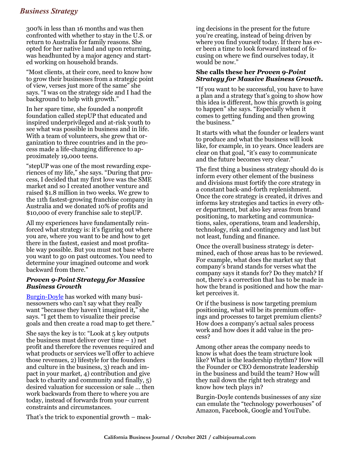# *Business Strategy*

300% in less than 16 months and was then confronted with whether to stay in the U.S. or return to Australia for family reasons. She opted for her native land and upon returning, was headhunted by a major agency and started working on household brands.

"Most clients, at their core, need to know how to grow their businesses from a strategic point of view, verses just more of the same" she says. "I was on the strategy side and I had the background to help with growth."

In her spare time, she founded a nonprofit foundation called stepUP that educated and inspired underprivileged and at-risk youth to see what was possible in business and in life. With a team of volunteers, she grew that organization to three countries and in the process made a life-changing difference to approximately 19,000 teens.

"stepUP was one of the most rewarding experiences of my life," she says. "During that process, I decided that my first love was the SME market and so I created another venture and raised \$1.8 million in two weeks. We grew to the 11th fastest-growing franchise company in Australia and we donated 10% of profits and \$10,000 of every franchise sale to stepUP.

All my experiences have fundamentally reinforced what strategy is: it's figuring out where you are, where you want to be and how to get there in the fastest, easiest and most profitable way possible. But you must not base where you want to go on past outcomes. You need to determine your imagined outcome and work backward from there."

### *Proven 9-Point Strategy for Massive Business Growth*

[Burgin](https://ryllburgindoyle.com/)-Doyle has worked with many businessowners who can't say what they really want "because they haven't imagined it," she says. "I get them to visualize their precise goals and then create a road map to get there."

She says the key is to: "Look at 5 key outputs the business must deliver over time  $-1$ ) net profit and therefore the revenues required and what products or services we'll offer to achieve those revenues, 2) lifestyle for the founders and culture in the business, 3) reach and impact in your market, 4) contribution and give back to charity and community and finally, 5) desired valuation for succession or sale … then work backwards from there to where you are today, instead of forwards from your current constraints and circumstances.

That's the trick to exponential growth – mak-

ing decisions in the present for the future you're creating, instead of being driven by where you find yourself today. If there has ever been a time to look forward instead of focusing on where we find ourselves today, it would be now."

#### **She calls these her** *Proven 9-Point Strategy for Massive Business Growth***.**

"If you want to be successful, you have to have a plan and a strategy that's going to show how this idea is different, how this growth is going to happen" she says. "Especially when it comes to getting funding and then growing the business."

It starts with what the founder or leaders want to produce and what the business will look like, for example, in 10 years. Once leaders are clear on that goal, "it's easy to communicate and the future becomes very clear."

The first thing a business strategy should do is inform every other element of the business and divisions must fortify the core strategy in a constant back-and-forth replenishment. Once the core strategy is created, it drives and informs key strategies and tactics in every other department, but also key areas from brand positioning, to marketing and communications, sales, operations, team and leadership, technology, risk and contingency and last but not least, funding and finance.

Once the overall business strategy is determined, each of those areas has to be reviewed. For example, what does the market say that company's brand stands for verses what the company says it stands for? Do they match? If not, there's a correction that has to be made in how the brand is positioned and how the market perceives it.

Or if the business is now targeting premium positioning, what will be its premium offerings and processes to target premium clients? How does a company's actual sales process work and how does it add value in the process?

Among other areas the company needs to know is what does the team structure look like? What is the leadership rhythm? How will the Founder or CEO demonstrate leadership in the business and build the team? How will they nail down the right tech strategy and know how tech plays in?

Burgin-Doyle contends businesses of any size can emulate the "technology powerhouses" of Amazon, Facebook, Google and YouTube.